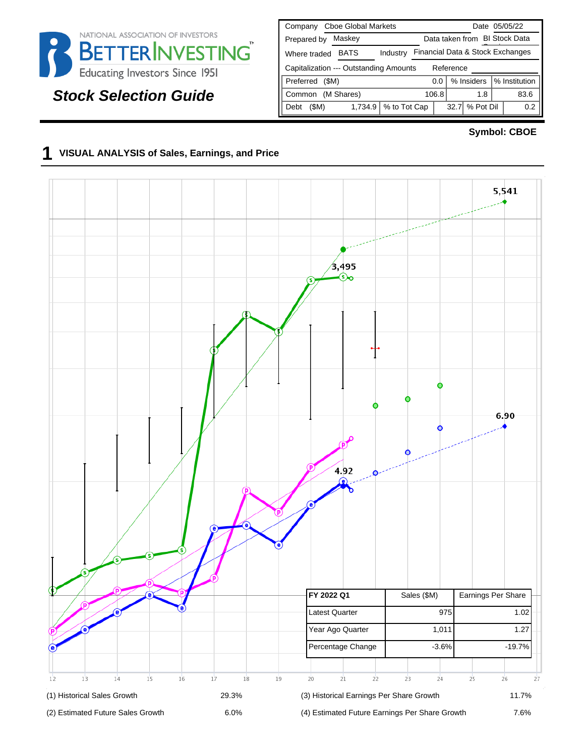

# **Stock Selection Guide**

| <b>Cboe Global Markets</b><br>Company               | Date 05/05/22                      |  |  |  |  |  |  |  |  |  |  |  |
|-----------------------------------------------------|------------------------------------|--|--|--|--|--|--|--|--|--|--|--|
| Maskey<br>Prepared by                               | Data taken from BI Stock Data      |  |  |  |  |  |  |  |  |  |  |  |
| <b>BATS</b><br>Industry<br>Where traded             | Financial Data & Stock Exchanges   |  |  |  |  |  |  |  |  |  |  |  |
| Capitalization --- Outstanding Amounts<br>Reference |                                    |  |  |  |  |  |  |  |  |  |  |  |
| Preferred<br>(SM)                                   | % Institution<br>% Insiders<br>0.0 |  |  |  |  |  |  |  |  |  |  |  |
| (M Shares)<br>Common                                | 106.8<br>83.6<br>1.8               |  |  |  |  |  |  |  |  |  |  |  |
| % to Tot Cap<br>(\$M)<br>1,734.9<br>Debt            | % Pot Dil<br>32.7<br>0.2           |  |  |  |  |  |  |  |  |  |  |  |

#### **Symbol: CBOE**

#### **1 VISUAL ANALYSIS of Sales, Earnings, and Price**

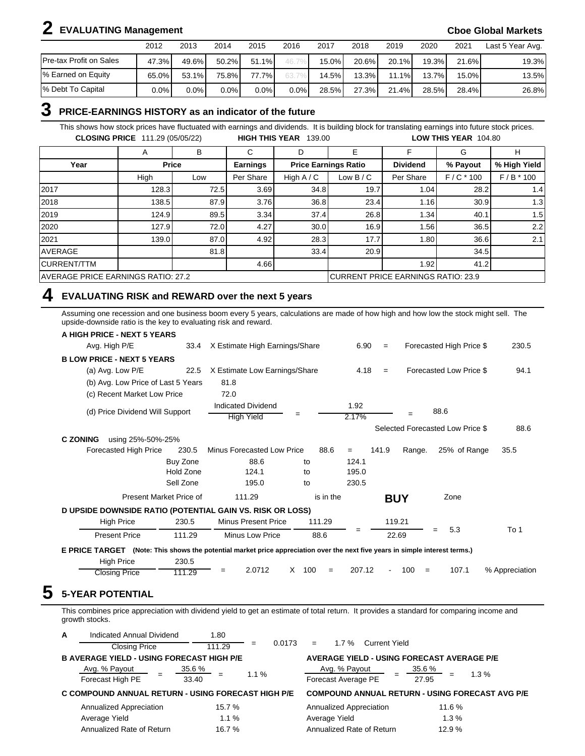# **2 EVALUATING Management Cboe Global Markets**

|                                | 2012    | 2013  | 2014     | 2015    | 2016    | 2017     | 2018     | 2019  | 2020   | 2021     | Last 5 Year Avg. |
|--------------------------------|---------|-------|----------|---------|---------|----------|----------|-------|--------|----------|------------------|
| <b>Pre-tax Profit on Sales</b> | 47.3%   | 49.6% | $50.2\%$ | 51.1%   |         | $15.0\%$ | $20.6\%$ | 20.1% | 19.3%  | 21.6%    | 19.3%            |
| % Earned on Equity             | 65.0%   | 53.1% | 75.8%    | 77.7%   |         | 14.5%    | $13.3\%$ | 11.1% | 13.7%1 | $15.0\%$ | 13.5%            |
| 1% Debt To Capital             | $0.0\%$ | 0.0%  | $0.0\%$  | $0.0\%$ | $0.0\%$ | 28.5%    | 27.3%    | 21.4% | 28.5%  | 28.4%    | 26.8%            |

#### **3 PRICE-EARNINGS HISTORY as an indicator of the future**

This shows how stock prices have fluctuated with earnings and dividends. It is building block for translating earnings into future stock prices. **CLOSING PRICE** 111.29 (05/05/22) **HIGH THIS YEAR** 139.00 **LOW THIS YEAR** 104.80

|                                    | A     | B            | ⌒<br>U                             | D            | Е                           |                 | G           | н            |  |
|------------------------------------|-------|--------------|------------------------------------|--------------|-----------------------------|-----------------|-------------|--------------|--|
| Year                               |       | <b>Price</b> | <b>Earnings</b>                    |              | <b>Price Earnings Ratio</b> | <b>Dividend</b> | % Payout    | % High Yield |  |
|                                    | High  | Low          | Per Share                          | High $A / C$ | Low $B/C$                   | Per Share       | $F/C * 100$ | $F/B * 100$  |  |
| 2017                               | 128.3 | 72.5         | 3.69                               | 34.8         | 19.7                        | 1.04            | 28.2        | 1.4          |  |
| 2018                               | 138.5 | 87.9         | 3.76                               | 36.8         | 23.4                        | 1.16            | 30.9        | 1.3          |  |
| 2019                               | 124.9 | 89.5         | 3.34                               | 37.4         | 26.8                        | 1.34            | 40.1        | 1.5          |  |
| 2020                               | 127.9 | 72.0         | 4.27                               | 30.0         | 16.9                        | 1.56            | 36.5        | 2.2          |  |
| 2021                               | 139.0 | 87.0         | 4.92                               | 28.3         | 17.7                        | 1.80            | 36.6        | 2.1          |  |
| <b>AVERAGE</b>                     |       | 81.8         |                                    | 33.4         | 20.9                        |                 | 34.5        |              |  |
| <b>CURRENT/TTM</b>                 |       |              | 4.66                               |              |                             | 1.92            | 41.2        |              |  |
| AVERAGE PRICE EARNINGS RATIO: 27.2 |       |              | CURRENT PRICE EARNINGS RATIO: 23.9 |              |                             |                 |             |              |  |

## **4 EVALUATING RISK and REWARD over the next 5 years**

Assuming one recession and one business boom every 5 years, calculations are made of how high and how low the stock might sell. The upside-downside ratio is the key to evaluating risk and reward.

| A HIGH PRICE - NEXT 5 YEARS                                                                                                  |           |                                                |                 |               |                   |            |                                  |                |
|------------------------------------------------------------------------------------------------------------------------------|-----------|------------------------------------------------|-----------------|---------------|-------------------|------------|----------------------------------|----------------|
| Avg. High P/E                                                                                                                | 33.4      | X Estimate High Earnings/Share                 |                 | 6.90          | $\qquad \qquad =$ |            | Forecasted High Price \$         | 230.5          |
| <b>BLOW PRICE - NEXT 5 YEARS</b>                                                                                             |           |                                                |                 |               |                   |            |                                  |                |
| (a) Avg. Low P/E                                                                                                             | 22.5      | X Estimate Low Earnings/Share                  |                 | 4.18          | $\qquad \qquad =$ |            | Forecasted Low Price \$          | 94.1           |
| (b) Avg. Low Price of Last 5 Years                                                                                           |           | 81.8                                           |                 |               |                   |            |                                  |                |
| (c) Recent Market Low Price                                                                                                  |           | 72.0                                           |                 |               |                   |            |                                  |                |
| (d) Price Dividend Will Support                                                                                              |           | <b>Indicated Dividend</b><br><b>High Yield</b> | $=$             | 1.92<br>2.17% |                   |            | 88.6                             |                |
|                                                                                                                              |           |                                                |                 |               |                   |            | Selected Forecasted Low Price \$ | 88.6           |
| <b>C ZONING</b><br>using 25%-50%-25%                                                                                         |           |                                                |                 |               |                   |            |                                  |                |
| Forecasted High Price                                                                                                        | 230.5     | Minus Forecasted Low Price                     | 88.6            | $=$           | 141.9             | Range.     | 25% of Range                     | 35.5           |
|                                                                                                                              | Buy Zone  | 88.6                                           | to              | 124.1         |                   |            |                                  |                |
|                                                                                                                              | Hold Zone | 124.1                                          | to              | 195.0         |                   |            |                                  |                |
|                                                                                                                              | Sell Zone | 195.0                                          | to              | 230.5         |                   |            |                                  |                |
| Present Market Price of                                                                                                      |           | 111.29                                         | is in the       |               | <b>BUY</b>        |            | Zone                             |                |
| D UPSIDE DOWNSIDE RATIO (POTENTIAL GAIN VS. RISK OR LOSS)                                                                    |           |                                                |                 |               |                   |            |                                  |                |
| <b>High Price</b>                                                                                                            | 230.5     | <b>Minus Present Price</b>                     | 111.29          |               |                   | 119.21     |                                  |                |
| <b>Present Price</b>                                                                                                         | 111.29    | Minus Low Price                                | 88.6            | $=$           | 22.69             |            | 5.3<br>$=$                       | To 1           |
| E PRICE TARGET (Note: This shows the potential market price appreciation over the next five years in simple interest terms.) |           |                                                |                 |               |                   |            |                                  |                |
| <b>High Price</b>                                                                                                            | 230.5     |                                                |                 |               |                   |            |                                  |                |
| <b>Closing Price</b>                                                                                                         | 111.29    | 2.0712<br>$=$                                  | X<br>100<br>$=$ | 207.12        |                   | 100<br>$=$ | 107.1                            | % Appreciation |

This combines price appreciation with dividend yield to get an estimate of total return. It provides a standard for comparing income and growth stocks.

| A | Indicated Annual Dividend                          | 1.80                   |               |                                                   |                                                        |
|---|----------------------------------------------------|------------------------|---------------|---------------------------------------------------|--------------------------------------------------------|
|   | <b>Closing Price</b>                               | 111.29                 | 0.0173<br>$=$ | 1.7%<br>Current Yield<br>$=$                      |                                                        |
|   | <b>B AVERAGE YIELD - USING FORECAST HIGH P/E</b>   |                        |               | <b>AVERAGE YIELD - USING FORECAST AVERAGE P/E</b> |                                                        |
|   | Avg. % Payout<br>Forecast High PE                  | 35.6 %<br>$=$<br>33.40 | $1.1 \%$      | Avg. % Payout<br>Forecast Average PE              | 35.6 %<br>$1.3\%$<br>27.95                             |
|   | C COMPOUND ANNUAL RETURN - USING FORECAST HIGH P/E |                        |               |                                                   | <b>COMPOUND ANNUAL RETURN - USING FORECAST AVG P/E</b> |
|   | Annualized Appreciation                            | 15.7 %                 |               | Annualized Appreciation                           | 11.6 %                                                 |
|   | Average Yield                                      | 1.1%                   |               | Average Yield                                     | 1.3%                                                   |
|   | Annualized Rate of Return                          | 16.7 %                 |               | Annualized Rate of Return                         | 12.9%                                                  |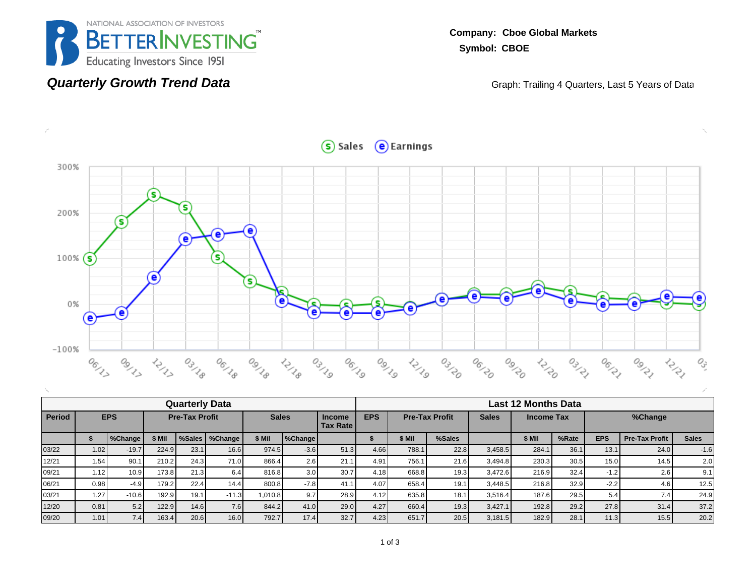

#### **Quarterly Growth Trend Data**

**Company: Cboe Global Markets Symbol: CBOE**

Graph: Trailing 4 Quarters, Last 5 Years of Data

 $S$  Sales  $\Theta$  Earnings



|        |       |            |                       |      | <b>Quarterly Data</b> |              |                  |                                    | <b>Last 12 Months Data</b>                                               |        |        |         |        |       |            |                       |              |  |  |
|--------|-------|------------|-----------------------|------|-----------------------|--------------|------------------|------------------------------------|--------------------------------------------------------------------------|--------|--------|---------|--------|-------|------------|-----------------------|--------------|--|--|
| Period |       | <b>EPS</b> | <b>Pre-Tax Profit</b> |      |                       | <b>Sales</b> |                  | <b>Income</b><br><b>Tax Rate I</b> | <b>EPS</b><br><b>Pre-Tax Profit</b><br><b>Sales</b><br><b>Income Tax</b> |        |        |         |        |       | %Change    |                       |              |  |  |
|        |       | %Change    | \$ Mil                |      | %Sales   %Change      | \$ Mil       | %Change          |                                    |                                                                          | \$ Mil | %Sales |         | \$ Mil | %Rate | <b>EPS</b> | <b>Pre-Tax Profit</b> | <b>Sales</b> |  |  |
| 03/22  | 1.02  | $-19.7$    | 224.9                 | 23.1 | 16.6                  | 974.5        | $-3.6$           | 51.3                               | 4.66                                                                     | 788.1  | 22.8   | 3.458.5 | 284.   | 36.1  | 13.1       | 24.0                  | $-1.6$       |  |  |
| 12/21  | 1.54. | 90.1       | 210.2                 | 24.3 | 71.0                  | 866.4        | 2.6              | 21.1                               | 4.91                                                                     | 756.1  | 21.6   | 3,494.8 | 230.3  | 30.5  | 15.0       | 14.5                  | 2.0          |  |  |
| 09/21  | 1.12  | 10.9       | 173.8                 | 21.3 | 6.4                   | 816.8        | 3.0 <sub>1</sub> | 30.7                               | 4.18                                                                     | 668.8  | 19.3   | 3.472.6 | 216.9  | 32.4  | $-1.2$     | 2.6                   | 9.1          |  |  |
| 06/21  | 0.98  | $-4.9$     | 179.2                 | 22.4 | 14.4                  | 800.8        | $-7.8$           | 41.1                               | 4.07                                                                     | 658.4  | 19.1   | 3.448.5 | 216.8  | 32.9  | $-2.2$     | 4.6                   | 12.5         |  |  |
| 03/21  | 1.27  | $-10.6$    | 192.9                 | 19.1 | $-11.3$               | 1.010.8      | 9.7              | 28.9                               | 4.12                                                                     | 635.8  | 18.7   | 3,516.4 | 187.6  | 29.5  | 5.4        | 7.4                   | 24.9         |  |  |
| 12/20  | 0.81  | 5.2        | 122.9                 | 14.6 | 7.6                   | 844.2        | 41.0             | 29.0                               | 4.27                                                                     | 660.4  | 19.3   | 3,427.1 | 192.8  | 29.2  | 27.8       | 31.4                  | 37.2         |  |  |
| 09/20  | 1.01  | 7.4        | 163.4                 | 20.6 | 16.0                  | 792.7        | 17.4             | 32.7                               | 4.23                                                                     | 651.7  | 20.5   | 3.181.5 | 182.9  | 28.1  | 11.3       | 15.5                  | 20.2         |  |  |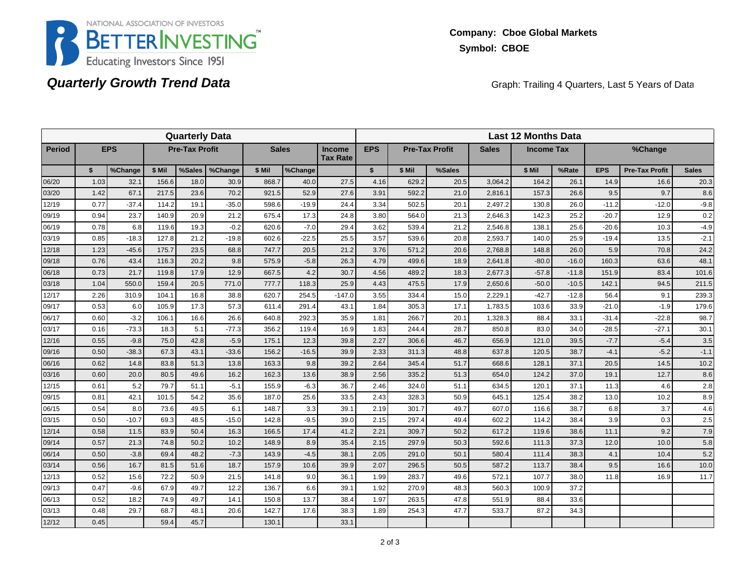

## **Quarterly Growth Trend Data**

Graph: Trailing 4 Quarters, Last 5 Years of Data

|               |      |            |        | <b>Quarterly Data</b> |         |              |         |                                  | <b>Last 12 Months Data</b> |        |                       |              |                   |         |            |                       |              |  |  |
|---------------|------|------------|--------|-----------------------|---------|--------------|---------|----------------------------------|----------------------------|--------|-----------------------|--------------|-------------------|---------|------------|-----------------------|--------------|--|--|
| <b>Period</b> |      | <b>EPS</b> |        | <b>Pre-Tax Profit</b> |         | <b>Sales</b> |         | <b>Income</b><br><b>Tax Rate</b> | <b>EPS</b>                 |        | <b>Pre-Tax Profit</b> | <b>Sales</b> | <b>Income Tax</b> |         |            | %Change               |              |  |  |
|               | \$   | %Change    | \$ Mil | %Sales                | %Change | \$ Mil       | %Change |                                  | $\mathbf{s}$               | \$ Mil | %Sales                |              | \$ Mil            | %Rate   | <b>EPS</b> | <b>Pre-Tax Profit</b> | <b>Sales</b> |  |  |
| 06/20         | 1.03 | 32.1       | 156.6  | 18.0                  | 30.9    | 868.7        | 40.0    | 27.5                             | 4.16                       | 629.2  | 20.5                  | 3,064.2      | 164.2             | 26.1    | 14.9       | 16.6                  | 20.3         |  |  |
| 03/20         | 1.42 | 67.1       | 217.5  | 23.6                  | 70.2    | 921.5        | 52.9    | 27.6                             | 3.91                       | 592.2  | 21.0                  | 2,816.1      | 157.3             | 26.6    | 9.5        | 9.7                   | 8.6          |  |  |
| 12/19         | 0.77 | $-37.4$    | 114.2  | 19.1                  | $-35.0$ | 598.6        | $-19.9$ | 24.4                             | 3.34                       | 502.5  | 20.1                  | 2.497.2      | 130.8             | 26.0    | $-11.2$    | $-12.0$               | $-9.8$       |  |  |
| 09/19         | 0.94 | 23.7       | 140.9  | 20.9                  | 21.2    | 675.4        | 17.3    | 24.8                             | 3.80                       | 564.0  | 21.3                  | 2,646.3      | 142.3             | 25.2    | $-20.7$    | 12.9                  | 0.2          |  |  |
| 06/19         | 0.78 | 6.8        | 119.6  | 19.3                  | $-0.2$  | 620.6        | $-7.0$  | 29.4                             | 3.62                       | 539.4  | 21.2                  | 2,546.8      | 138.1             | 25.6    | $-20.6$    | 10.3                  | $-4.9$       |  |  |
| 03/19         | 0.85 | $-18.3$    | 127.8  | 21.2                  | $-19.8$ | 602.6        | $-22.5$ | 25.5                             | 3.57                       | 539.6  | 20.8                  | 2,593.7      | 140.0             | 25.9    | $-19.4$    | 13.5                  | $-2.1$       |  |  |
| 12/18         | 1.23 | $-45.6$    | 175.7  | 23.5                  | 68.8    | 747.7        | 20.5    | 21.2                             | 3.76                       | 571.2  | 20.6                  | 2.768.8      | 148.8             | 26.0    | 5.9        | 70.8                  | 24.2         |  |  |
| 09/18         | 0.76 | 43.4       | 116.3  | 20.2                  | 9.8     | 575.9        | $-5.8$  | 26.3                             | 4.79                       | 499.6  | 18.9                  | 2,641.8      | $-80.0$           | $-16.0$ | 160.3      | 63.6                  | 48.1         |  |  |
| 06/18         | 0.73 | 21.7       | 119.8  | 17.9                  | 12.9    | 667.5        | 4.2     | 30.7                             | 4.56                       | 489.2  | 18.3                  | 2,677.3      | $-57.8$           | $-11.8$ | 151.9      | 83.4                  | 101.6        |  |  |
| 03/18         | 1.04 | 550.0      | 159.4  | 20.5                  | 771.0   | 777.7        | 118.3   | 25.9                             | 4.43                       | 475.5  | 17.9                  | 2,650.6      | $-50.0$           | $-10.5$ | 142.1      | 94.5                  | 211.5        |  |  |
| 12/17         | 2.26 | 310.9      | 104.1  | 16.8                  | 38.8    | 620.7        | 254.5   | $-147.0$                         | 3.55                       | 334.4  | 15.0                  | 2.229.1      | $-42.7$           | $-12.8$ | 56.4       | 9.1                   | 239.3        |  |  |
| 09/17         | 0.53 | 6.0        | 105.9  | 17.3                  | 57.3    | 611.4        | 291.4   | 43.1                             | 1.84                       | 305.3  | 17.1                  | 1,783.5      | 103.6             | 33.9    | $-21.0$    | $-1.9$                | 179.6        |  |  |
| 06/17         | 0.60 | $-3.2$     | 106.1  | 16.6                  | 26.6    | 640.8        | 292.3   | 35.9                             | 1.81                       | 266.7  | 20.1                  | 1,328.3      | 88.4              | 33.1    | $-31.4$    | $-22.8$               | 98.7         |  |  |
| 03/17         | 0.16 | $-73.3$    | 18.3   | 5.1                   | $-77.3$ | 356.2        | 119.4   | 16.9                             | 1.83                       | 244.4  | 28.7                  | 850.8        | 83.0              | 34.0    | $-28.5$    | $-27.1$               | 30.1         |  |  |
| 12/16         | 0.55 | $-9.8$     | 75.0   | 42.8                  | $-5.9$  | 175.1        | 12.3    | 39.8                             | 2.27                       | 306.6  | 46.7                  | 656.9        | 121.0             | 39.5    | $-7.7$     | $-5.4$                | 3.5          |  |  |
| 09/16         | 0.50 | $-38.3$    | 67.3   | 43.1                  | $-33.6$ | 156.2        | $-16.5$ | 39.9                             | 2.33                       | 311.3  | 48.8                  | 637.8        | 120.5             | 38.7    | $-4.1$     | $-5.2$                | $-1.1$       |  |  |
| 06/16         | 0.62 | 14.8       | 83.8   | 51.3                  | 13.8    | 163.3        | 9.8     | 39.2                             | 2.64                       | 345.4  | 51.7                  | 668.6        | 128.1             | 37.1    | 20.5       | 14.5                  | 10.2         |  |  |
| 03/16         | 0.60 | 20.0       | 80.5   | 49.6                  | 16.2    | 162.3        | 13.6    | 38.9                             | 2.56                       | 335.2  | 51.3                  | 654.0        | 124.2             | 37.0    | 19.1       | 12.7                  | 8.6          |  |  |
| 12/15         | 0.61 | 5.2        | 79.7   | 51.1                  | $-5.1$  | 155.9        | $-6.3$  | 36.7                             | 2.46                       | 324.0  | 51.1                  | 634.5        | 120.1             | 37.1    | 11.3       | 4.6                   | 2.8          |  |  |
| 09/15         | 0.81 | 42.1       | 101.5  | 54.2                  | 35.6    | 187.0        | 25.6    | 33.5                             | 2.43                       | 328.3  | 50.9                  | 645.1        | 125.4             | 38.2    | 13.0       | 10.2                  | 8.9          |  |  |
| 06/15         | 0.54 | 8.0        | 73.6   | 49.5                  | 6.1     | 148.7        | 3.3     | 39.1                             | 2.19                       | 301.7  | 49.7                  | 607.0        | 116.6             | 38.7    | 6.8        | 3.7                   | 4.6          |  |  |
| 03/15         | 0.50 | $-10.7$    | 69.3   | 48.5                  | $-15.0$ | 142.8        | $-9.5$  | 39.0                             | 2.15                       | 297.4  | 49.4                  | 602.2        | 114.2             | 38.4    | 3.9        | 0.3                   | 2.5          |  |  |
| 12/14         | 0.58 | 11.5       | 83.9   | 50.4                  | 16.3    | 166.5        | 17.4    | 41.2                             | 2.21                       | 309.7  | 50.2                  | 617.2        | 119.6             | 38.6    | 11.1       | 9.2                   | 7.9          |  |  |
| 09/14         | 0.57 | 21.3       | 74.8   | 50.2                  | 10.2    | 148.9        | 8.9     | 35.4                             | 2.15                       | 297.9  | 50.3                  | 592.6        | 111.3             | 37.3    | 12.0       | 10.0                  | 5.8          |  |  |
| 06/14         | 0.50 | $-3.8$     | 69.4   | 48.2                  | $-7.3$  | 143.9        | $-4.5$  | 38.1                             | 2.05                       | 291.0  | 50.1                  | 580.4        | 111.4             | 38.3    | 4.1        | 10.4                  | 5.2          |  |  |
| 03/14         | 0.56 | 16.7       | 81.5   | 51.6                  | 18.7    | 157.9        | 10.6    | 39.9                             | 2.07                       | 296.5  | 50.5                  | 587.2        | 113.7             | 38.4    | 9.5        | 16.6                  | 10.0         |  |  |
| 12/13         | 0.52 | 15.6       | 72.2   | 50.9                  | 21.5    | 141.8        | 9.0     | 36.1                             | 1.99                       | 283.7  | 49.6                  | 572.1        | 107.7             | 38.0    | 11.8       | 16.9                  | 11.7         |  |  |
| 09/13         | 0.47 | $-9.6$     | 67.9   | 49.7                  | 12.2    | 136.7        | 6.6     | 39.1                             | 1.92                       | 270.9  | 48.3                  | 560.3        | 100.9             | 37.2    |            |                       |              |  |  |
| 06/13         | 0.52 | 18.2       | 74.9   | 49.7                  | 14.1    | 150.8        | 13.7    | 38.4                             | 1.97                       | 263.5  | 47.8                  | 551.9        | 88.4              | 33.6    |            |                       |              |  |  |
| 03/13         | 0.48 | 29.7       | 68.7   | 48.1                  | 20.6    | 142.7        | 17.6    | 38.3                             | 1.89                       | 254.3  | 47.7                  | 533.7        | 87.2              | 34.3    |            |                       |              |  |  |
| 12/12         | 0.45 |            | 59.4   | 45.7                  |         | 130.1        |         | 33.1                             |                            |        |                       |              |                   |         |            |                       |              |  |  |